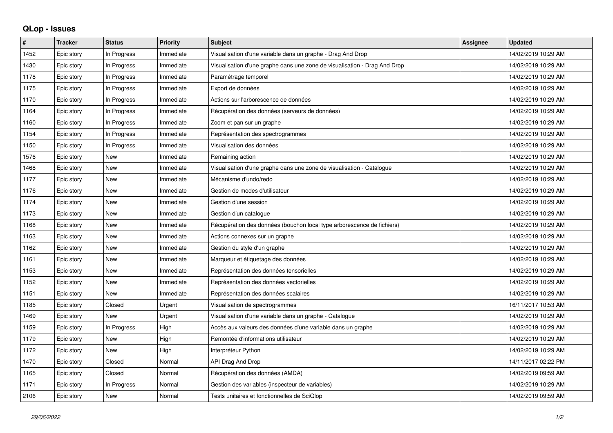## **QLop - Issues**

| #    | <b>Tracker</b> | <b>Status</b> | <b>Priority</b> | <b>Subject</b>                                                            | <b>Assignee</b> | <b>Updated</b>      |
|------|----------------|---------------|-----------------|---------------------------------------------------------------------------|-----------------|---------------------|
| 1452 | Epic story     | In Progress   | Immediate       | Visualisation d'une variable dans un graphe - Drag And Drop               |                 | 14/02/2019 10:29 AM |
| 1430 | Epic story     | In Progress   | Immediate       | Visualisation d'une graphe dans une zone de visualisation - Drag And Drop |                 | 14/02/2019 10:29 AM |
| 1178 | Epic story     | In Progress   | Immediate       | Paramétrage temporel                                                      |                 | 14/02/2019 10:29 AM |
| 1175 | Epic story     | In Progress   | Immediate       | Export de données                                                         |                 | 14/02/2019 10:29 AM |
| 1170 | Epic story     | In Progress   | Immediate       | Actions sur l'arborescence de données                                     |                 | 14/02/2019 10:29 AM |
| 1164 | Epic story     | In Progress   | Immediate       | Récupération des données (serveurs de données)                            |                 | 14/02/2019 10:29 AM |
| 1160 | Epic story     | In Progress   | Immediate       | Zoom et pan sur un graphe                                                 |                 | 14/02/2019 10:29 AM |
| 1154 | Epic story     | In Progress   | Immediate       | Représentation des spectrogrammes                                         |                 | 14/02/2019 10:29 AM |
| 1150 | Epic story     | In Progress   | Immediate       | Visualisation des données                                                 |                 | 14/02/2019 10:29 AM |
| 1576 | Epic story     | <b>New</b>    | Immediate       | Remaining action                                                          |                 | 14/02/2019 10:29 AM |
| 1468 | Epic story     | <b>New</b>    | Immediate       | Visualisation d'une graphe dans une zone de visualisation - Catalogue     |                 | 14/02/2019 10:29 AM |
| 1177 | Epic story     | <b>New</b>    | Immediate       | Mécanisme d'undo/redo                                                     |                 | 14/02/2019 10:29 AM |
| 1176 | Epic story     | <b>New</b>    | Immediate       | Gestion de modes d'utilisateur                                            |                 | 14/02/2019 10:29 AM |
| 1174 | Epic story     | <b>New</b>    | Immediate       | Gestion d'une session                                                     |                 | 14/02/2019 10:29 AM |
| 1173 | Epic story     | <b>New</b>    | Immediate       | Gestion d'un catalogue                                                    |                 | 14/02/2019 10:29 AM |
| 1168 | Epic story     | <b>New</b>    | Immediate       | Récupération des données (bouchon local type arborescence de fichiers)    |                 | 14/02/2019 10:29 AM |
| 1163 | Epic story     | <b>New</b>    | Immediate       | Actions connexes sur un graphe                                            |                 | 14/02/2019 10:29 AM |
| 1162 | Epic story     | <b>New</b>    | Immediate       | Gestion du style d'un graphe                                              |                 | 14/02/2019 10:29 AM |
| 1161 | Epic story     | <b>New</b>    | Immediate       | Marqueur et étiquetage des données                                        |                 | 14/02/2019 10:29 AM |
| 1153 | Epic story     | <b>New</b>    | Immediate       | Représentation des données tensorielles                                   |                 | 14/02/2019 10:29 AM |
| 1152 | Epic story     | <b>New</b>    | Immediate       | Représentation des données vectorielles                                   |                 | 14/02/2019 10:29 AM |
| 1151 | Epic story     | <b>New</b>    | Immediate       | Représentation des données scalaires                                      |                 | 14/02/2019 10:29 AM |
| 1185 | Epic story     | Closed        | Urgent          | Visualisation de spectrogrammes                                           |                 | 16/11/2017 10:53 AM |
| 1469 | Epic story     | <b>New</b>    | Urgent          | Visualisation d'une variable dans un graphe - Catalogue                   |                 | 14/02/2019 10:29 AM |
| 1159 | Epic story     | In Progress   | High            | Accès aux valeurs des données d'une variable dans un graphe               |                 | 14/02/2019 10:29 AM |
| 1179 | Epic story     | <b>New</b>    | High            | Remontée d'informations utilisateur                                       |                 | 14/02/2019 10:29 AM |
| 1172 | Epic story     | <b>New</b>    | High            | Interpréteur Python                                                       |                 | 14/02/2019 10:29 AM |
| 1470 | Epic story     | Closed        | Normal          | API Drag And Drop                                                         |                 | 14/11/2017 02:22 PM |
| 1165 | Epic story     | Closed        | Normal          | Récupération des données (AMDA)                                           |                 | 14/02/2019 09:59 AM |
| 1171 | Epic story     | In Progress   | Normal          | Gestion des variables (inspecteur de variables)                           |                 | 14/02/2019 10:29 AM |
| 2106 | Epic story     | <b>New</b>    | Normal          | Tests unitaires et fonctionnelles de SciQlop                              |                 | 14/02/2019 09:59 AM |